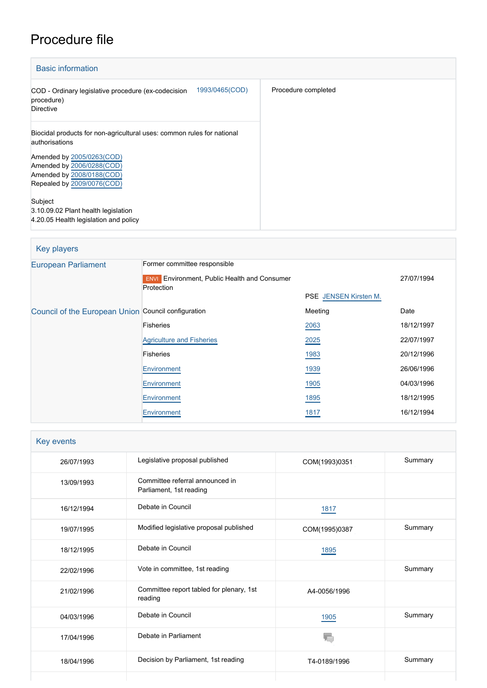# Procedure file

| <b>Basic information</b>                                                                                                                                                        |                     |
|---------------------------------------------------------------------------------------------------------------------------------------------------------------------------------|---------------------|
| 1993/0465(COD)<br>COD - Ordinary legislative procedure (ex-codecision<br>procedure)<br><b>Directive</b>                                                                         | Procedure completed |
| Biocidal products for non-agricultural uses: common rules for national<br>authorisations<br>Amended by 2005/0263(COD)<br>Amended by 2006/0288(COD)<br>Amended by 2008/0188(COD) |                     |
| Repealed by 2009/0076(COD)<br>Subject<br>3.10.09.02 Plant health legislation<br>4.20.05 Health legislation and policy                                                           |                     |

| Key players                                         |                                                                                               |                              |            |
|-----------------------------------------------------|-----------------------------------------------------------------------------------------------|------------------------------|------------|
| <b>European Parliament</b>                          | Former committee responsible<br><b>Environment, Public Health and Consumer</b><br><b>ENVI</b> | 27/07/1994                   |            |
|                                                     | Protection                                                                                    | <b>PSE</b> JENSEN Kirsten M. |            |
| Council of the European Union Council configuration |                                                                                               | Meeting                      | Date       |
|                                                     | Fisheries                                                                                     | 2063                         | 18/12/1997 |
|                                                     | <b>Agriculture and Fisheries</b>                                                              | 2025                         | 22/07/1997 |
|                                                     | <b>Fisheries</b>                                                                              | 1983                         | 20/12/1996 |
|                                                     | Environment                                                                                   | 1939                         | 26/06/1996 |
|                                                     | Environment                                                                                   | 1905                         | 04/03/1996 |
|                                                     | Environment                                                                                   | 1895                         | 18/12/1995 |
|                                                     | Environment                                                                                   | 1817                         | 16/12/1994 |

| Key events |                                                            |               |         |
|------------|------------------------------------------------------------|---------------|---------|
| 26/07/1993 | Legislative proposal published                             | COM(1993)0351 | Summary |
| 13/09/1993 | Committee referral announced in<br>Parliament, 1st reading |               |         |
| 16/12/1994 | Debate in Council                                          | <u>1817</u>   |         |
| 19/07/1995 | Modified legislative proposal published                    | COM(1995)0387 | Summary |
| 18/12/1995 | Debate in Council                                          | 1895          |         |
| 22/02/1996 | Vote in committee, 1st reading                             |               | Summary |
| 21/02/1996 | Committee report tabled for plenary, 1st<br>reading        | A4-0056/1996  |         |
| 04/03/1996 | Debate in Council                                          | <u>1905</u>   | Summary |
| 17/04/1996 | Debate in Parliament                                       |               |         |
| 18/04/1996 | Decision by Parliament, 1st reading                        | T4-0189/1996  | Summary |
|            |                                                            |               |         |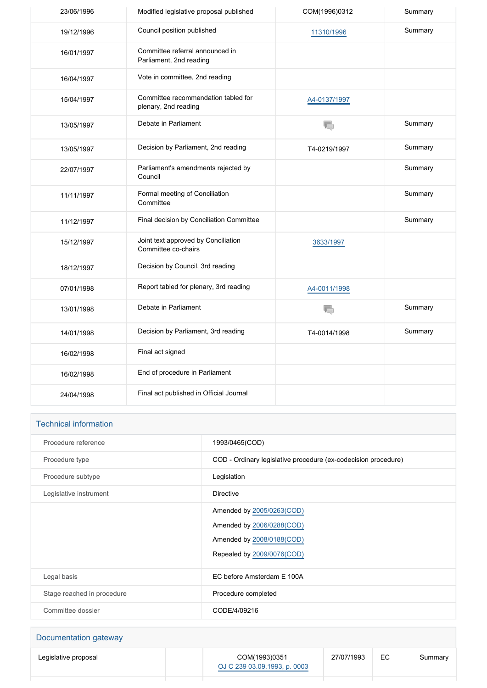| 23/06/1996 | Modified legislative proposal published                     | COM(1996)0312 | Summary |
|------------|-------------------------------------------------------------|---------------|---------|
| 19/12/1996 | Council position published                                  | 11310/1996    | Summary |
| 16/01/1997 | Committee referral announced in<br>Parliament, 2nd reading  |               |         |
| 16/04/1997 | Vote in committee, 2nd reading                              |               |         |
| 15/04/1997 | Committee recommendation tabled for<br>plenary, 2nd reading | A4-0137/1997  |         |
| 13/05/1997 | Debate in Parliament                                        | ł.            | Summary |
| 13/05/1997 | Decision by Parliament, 2nd reading                         | T4-0219/1997  | Summary |
| 22/07/1997 | Parliament's amendments rejected by<br>Council              |               | Summary |
| 11/11/1997 | Formal meeting of Conciliation<br>Committee                 |               | Summary |
| 11/12/1997 | Final decision by Conciliation Committee                    |               | Summary |
| 15/12/1997 | Joint text approved by Conciliation<br>Committee co-chairs  | 3633/1997     |         |
| 18/12/1997 | Decision by Council, 3rd reading                            |               |         |
| 07/01/1998 | Report tabled for plenary, 3rd reading                      | A4-0011/1998  |         |
| 13/01/1998 | Debate in Parliament                                        | T.            | Summary |
| 14/01/1998 | Decision by Parliament, 3rd reading                         | T4-0014/1998  | Summary |
| 16/02/1998 | Final act signed                                            |               |         |
| 16/02/1998 | End of procedure in Parliament                              |               |         |
| 24/04/1998 | Final act published in Official Journal                     |               |         |

| <b>Technical information</b> |                                                                                                                   |
|------------------------------|-------------------------------------------------------------------------------------------------------------------|
| Procedure reference          | 1993/0465(COD)                                                                                                    |
| Procedure type               | COD - Ordinary legislative procedure (ex-codecision procedure)                                                    |
| Procedure subtype            | Legislation                                                                                                       |
| Legislative instrument       | <b>Directive</b>                                                                                                  |
|                              | Amended by 2005/0263(COD)<br>Amended by 2006/0288(COD)<br>Amended by 2008/0188(COD)<br>Repealed by 2009/0076(COD) |
| Legal basis                  | EC before Amsterdam E 100A                                                                                        |
| Stage reached in procedure   | Procedure completed                                                                                               |
| Committee dossier            | CODE/4/09216                                                                                                      |

| Documentation gateway |               |            |    |         |
|-----------------------|---------------|------------|----|---------|
| Legislative proposal  | COM(1993)0351 | 27/07/1993 | ЕC | Summary |

[OJ C 239 03.09.1993, p. 0003](https://eur-lex.europa.eu/JOHtml.do?uri=OJ:C:1993:239:SOM:EN:HTML)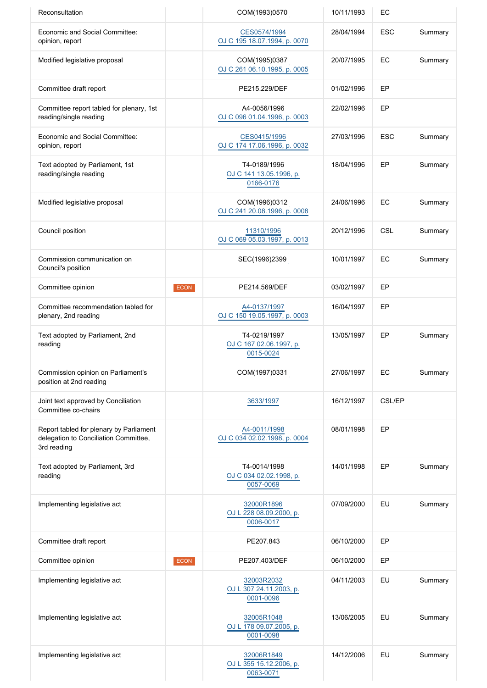| Reconsultation                                                                                  |      | COM(1993)0570                                        | 10/11/1993 | EC         |         |
|-------------------------------------------------------------------------------------------------|------|------------------------------------------------------|------------|------------|---------|
| <b>Economic and Social Committee:</b><br>opinion, report                                        |      | CES0574/1994<br>OJ C 195 18.07.1994, p. 0070         | 28/04/1994 | <b>ESC</b> | Summary |
| Modified legislative proposal                                                                   |      | COM(1995)0387<br>OJ C 261 06.10.1995, p. 0005        | 20/07/1995 | EC         | Summary |
| Committee draft report                                                                          |      | PE215.229/DEF                                        | 01/02/1996 | EP         |         |
| Committee report tabled for plenary, 1st<br>reading/single reading                              |      | A4-0056/1996<br>OJ C 096 01.04.1996, p. 0003         | 22/02/1996 | EP         |         |
| Economic and Social Committee:<br>opinion, report                                               |      | CES0415/1996<br>OJ C 174 17.06.1996, p. 0032         | 27/03/1996 | <b>ESC</b> | Summary |
| Text adopted by Parliament, 1st<br>reading/single reading                                       |      | T4-0189/1996<br>OJ C 141 13.05.1996, p.<br>0166-0176 | 18/04/1996 | EP         | Summary |
| Modified legislative proposal                                                                   |      | COM(1996)0312<br>OJ C 241 20.08.1996, p. 0008        | 24/06/1996 | EC         | Summary |
| Council position                                                                                |      | 11310/1996<br>OJ C 069 05.03.1997, p. 0013           | 20/12/1996 | CSL        | Summary |
| Commission communication on<br>Council's position                                               |      | SEC(1996)2399                                        | 10/01/1997 | EC         | Summary |
| Committee opinion                                                                               | ECON | PE214.569/DEF                                        | 03/02/1997 | EP         |         |
| Committee recommendation tabled for<br>plenary, 2nd reading                                     |      | A4-0137/1997<br>OJ C 150 19.05.1997, p. 0003         | 16/04/1997 | EP         |         |
| Text adopted by Parliament, 2nd<br>reading                                                      |      | T4-0219/1997<br>OJ C 167 02.06.1997, p.<br>0015-0024 | 13/05/1997 | EP         | Summary |
| Commission opinion on Parliament's<br>position at 2nd reading                                   |      | COM(1997)0331                                        | 27/06/1997 | EC         | Summary |
| Joint text approved by Conciliation<br>Committee co-chairs                                      |      | 3633/1997                                            | 16/12/1997 | CSL/EP     |         |
| Report tabled for plenary by Parliament<br>delegation to Conciliation Committee,<br>3rd reading |      | A4-0011/1998<br>OJ C 034 02.02.1998, p. 0004         | 08/01/1998 | EP         |         |
| Text adopted by Parliament, 3rd<br>reading                                                      |      | T4-0014/1998<br>OJ C 034 02.02.1998, p.<br>0057-0069 | 14/01/1998 | EP         | Summary |
| Implementing legislative act                                                                    |      | 32000R1896<br>OJ L 228 08.09.2000, p.<br>0006-0017   | 07/09/2000 | EU         | Summary |
| Committee draft report                                                                          |      | PE207.843                                            | 06/10/2000 | EP         |         |
| Committee opinion                                                                               | ECON | PE207.403/DEF                                        | 06/10/2000 | EP         |         |
| Implementing legislative act                                                                    |      | 32003R2032<br>OJ L 307 24.11.2003, p.<br>0001-0096   | 04/11/2003 | EU         | Summary |
| Implementing legislative act                                                                    |      | 32005R1048<br>OJ L 178 09.07.2005, p.<br>0001-0098   | 13/06/2005 | EU         | Summary |
| Implementing legislative act                                                                    |      | 32006R1849<br>OJ L 355 15.12.2006, p.<br>0063-0071   | 14/12/2006 | EU         | Summary |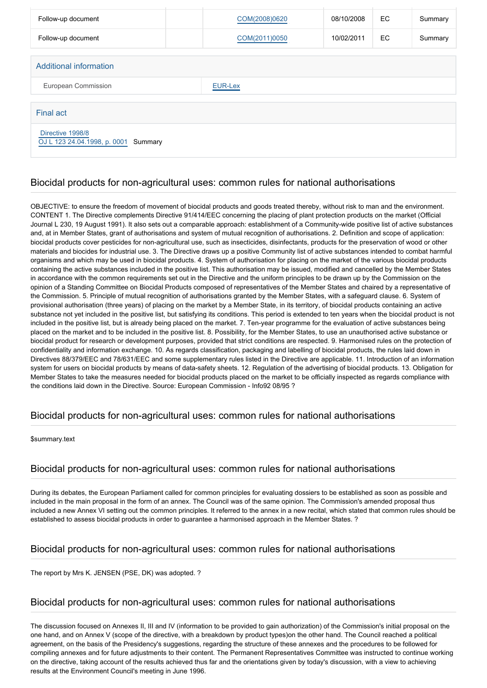| Follow-up document                                       |  | COM(2008)0620 | 08/10/2008 | EC  | Summary |
|----------------------------------------------------------|--|---------------|------------|-----|---------|
| Follow-up document                                       |  | COM(2011)0050 | 10/02/2011 | EC. | Summary |
| Additional information                                   |  |               |            |     |         |
|                                                          |  |               |            |     |         |
| European Commission<br><b>EUR-Lex</b>                    |  |               |            |     |         |
| <b>Final act</b>                                         |  |               |            |     |         |
| Directive 1998/8<br>OJ L 123 24.04.1998, p. 0001 Summary |  |               |            |     |         |

## Biocidal products for non-agricultural uses: common rules for national authorisations

OBJECTIVE: to ensure the freedom of movement of biocidal products and goods treated thereby, without risk to man and the environment. CONTENT 1. The Directive complements Directive 91/414/EEC concerning the placing of plant protection products on the market (Official Journal L 230, 19 August 1991). It also sets out a comparable approach: establishment of a Community-wide positive list of active substances and, at in Member States, grant of authorisations and system of mutual recognition of authorisations. 2. Definition and scope of application: biocidal products cover pesticides for non-agricultural use, such as insecticides, disinfectants, products for the preservation of wood or other materials and biocides for industrial use. 3. The Directive draws up a positive Community list of active substances intended to combat harmful organisms and which may be used in biocidal products. 4. System of authorisation for placing on the market of the various biocidal products containing the active substances included in the positive list. This authorisation may be issued, modified and cancelled by the Member States in accordance with the common requirements set out in the Directive and the uniform principles to be drawn up by the Commission on the opinion of a Standing Committee on Biocidal Products composed of representatives of the Member States and chaired by a representative of the Commission. 5. Principle of mutual recognition of authorisations granted by the Member States, with a safeguard clause. 6. System of provisional authorisation (three years) of placing on the market by a Member State, in its territory, of biocidal products containing an active substance not yet included in the positive list, but satisfying its conditions. This period is extended to ten years when the biocidal product is not included in the positive list, but is already being placed on the market. 7. Ten-year programme for the evaluation of active substances being placed on the market and to be included in the positive list. 8. Possibility, for the Member States, to use an unauthorised active substance or biocidal product for research or development purposes, provided that strict conditions are respected. 9. Harmonised rules on the protection of confidentiality and information exchange. 10. As regards classification, packaging and labelling of biocidal products, the rules laid down in Directives 88/379/EEC and 78/631/EEC and some supplementary rules listed in the Directive are applicable. 11. Introduction of an information system for users on biocidal products by means of data-safety sheets. 12. Regulation of the advertising of biocidal products. 13. Obligation for Member States to take the measures needed for biocidal products placed on the market to be officially inspected as regards compliance with the conditions laid down in the Directive. Source: European Commission - Info92 08/95 ?

## Biocidal products for non-agricultural uses: common rules for national authorisations

#### \$summary.text

## Biocidal products for non-agricultural uses: common rules for national authorisations

During its debates, the European Parliament called for common principles for evaluating dossiers to be established as soon as possible and included in the main proposal in the form of an annex. The Council was of the same opinion. The Commission's amended proposal thus included a new Annex VI setting out the common principles. It referred to the annex in a new recital, which stated that common rules should be established to assess biocidal products in order to guarantee a harmonised approach in the Member States. ?

## Biocidal products for non-agricultural uses: common rules for national authorisations

The report by Mrs K. JENSEN (PSE, DK) was adopted. ?

#### Biocidal products for non-agricultural uses: common rules for national authorisations

The discussion focused on Annexes II, III and IV (information to be provided to gain authorization) of the Commission's initial proposal on the one hand, and on Annex V (scope of the directive, with a breakdown by product types)on the other hand. The Council reached a political agreement, on the basis of the Presidency's suggestions, regarding the structure of these annexes and the procedures to be followed for compiling annexes and for future adjustments to their content. The Permanent Representatives Committee was instructed to continue working on the directive, taking account of the results achieved thus far and the orientations given by today's discussion, with a view to achieving results at the Environment Council's meeting in June 1996.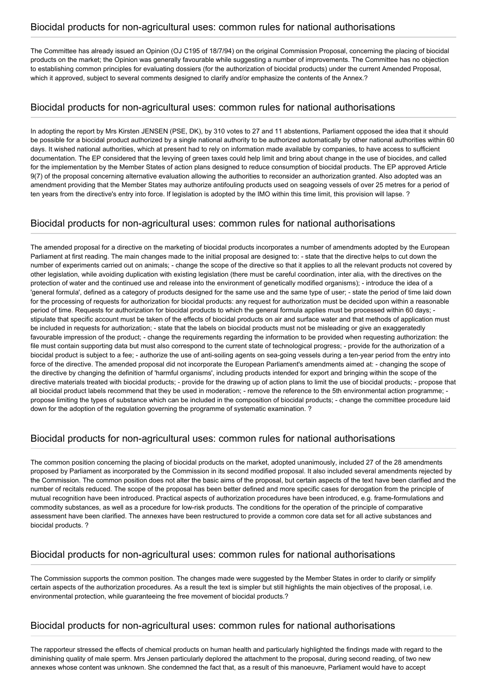The Committee has already issued an Opinion (OJ C195 of 18/7/94) on the original Commission Proposal, concerning the placing of biocidal products on the market; the Opinion was generally favourable while suggesting a number of improvements. The Committee has no objection to establishing common principles for evaluating dossiers (for the authorization of biocidal products) under the current Amended Proposal, which it approved, subject to several comments designed to clarify and/or emphasize the contents of the Annex.?

## Biocidal products for non-agricultural uses: common rules for national authorisations

In adopting the report by Mrs Kirsten JENSEN (PSE, DK), by 310 votes to 27 and 11 abstentions, Parliament opposed the idea that it should be possible for a biocidal product authorized by a single national authority to be authorized automatically by other national authorities within 60 days. It wished national authorities, which at present had to rely on information made available by companies, to have access to sufficient documentation. The EP considered that the levying of green taxes could help limit and bring about change in the use of biocides, and called for the implementation by the Member States of action plans designed to reduce consumption of biocidal products. The EP approved Article 9(7) of the proposal concerning alternative evaluation allowing the authorities to reconsider an authorization granted. Also adopted was an amendment providing that the Member States may authorize antifouling products used on seagoing vessels of over 25 metres for a period of ten years from the directive's entry into force. If legislation is adopted by the IMO within this time limit, this provision will lapse. ?

# Biocidal products for non-agricultural uses: common rules for national authorisations

The amended proposal for a directive on the marketing of biocidal products incorporates a number of amendments adopted by the European Parliament at first reading. The main changes made to the initial proposal are designed to: - state that the directive helps to cut down the number of experiments carried out on animals; - change the scope of the directive so that it applies to all the relevant products not covered by other legislation, while avoiding duplication with existing legislation (there must be careful coordination, inter alia, with the directives on the protection of water and the continued use and release into the environment of genetically modified organisms); - introduce the idea of a 'general formula', defined as a category of products designed for the same use and the same type of user; - state the period of time laid down for the processing of requests for authorization for biocidal products: any request for authorization must be decided upon within a reasonable period of time. Requests for authorization for biocidal products to which the general formula applies must be processed within 60 days; stipulate that specific account must be taken of the effects of biocidal products on air and surface water and that methods of application must be included in requests for authorization; - state that the labels on biocidal products must not be misleading or give an exaggeratedly favourable impression of the product; - change the requirements regarding the information to be provided when requesting authorization: the file must contain supporting data but must also correspond to the current state of technological progress; - provide for the authorization of a biocidal product is subject to a fee; - authorize the use of anti-soiling agents on sea-going vessels during a ten-year period from the entry into force of the directive. The amended proposal did not incorporate the European Parliament's amendments aimed at: - changing the scope of the directive by changing the definition of 'harmful organisms', including products intended for export and bringing within the scope of the directive materials treated with biocidal products; - provide for the drawing up of action plans to limit the use of biocidal products; - propose that all biocidal product labels recommend that they be used in moderation; - remove the reference to the 5th environmental action programme; propose limiting the types of substance which can be included in the composition of biocidal products; - change the committee procedure laid down for the adoption of the regulation governing the programme of systematic examination. ?

# Biocidal products for non-agricultural uses: common rules for national authorisations

The common position concerning the placing of biocidal products on the market, adopted unanimously, included 27 of the 28 amendments proposed by Parliament as incorporated by the Commission in its second modified proposal. It also included several amendments rejected by the Commission. The common position does not alter the basic aims of the proposal, but certain aspects of the text have been clarified and the number of recitals reduced. The scope of the proposal has been better defined and more specific cases for derogation from the principle of mutual recognition have been introduced. Practical aspects of authorization procedures have been introduced, e.g. frame-formulations and commodity substances, as well as a procedure for low-risk products. The conditions for the operation of the principle of comparative assessment have been clarified. The annexes have been restructured to provide a common core data set for all active substances and biocidal products. ?

## Biocidal products for non-agricultural uses: common rules for national authorisations

The Commission supports the common position. The changes made were suggested by the Member States in order to clarify or simplify certain aspects of the authorization procedures. As a result the text is simpler but still highlights the main objectives of the proposal, i.e. environmental protection, while guaranteeing the free movement of biocidal products.?

## Biocidal products for non-agricultural uses: common rules for national authorisations

The rapporteur stressed the effects of chemical products on human health and particularly highlighted the findings made with regard to the diminishing quality of male sperm. Mrs Jensen particularly deplored the attachment to the proposal, during second reading, of two new annexes whose content was unknown. She condemned the fact that, as a result of this manoeuvre, Parliament would have to accept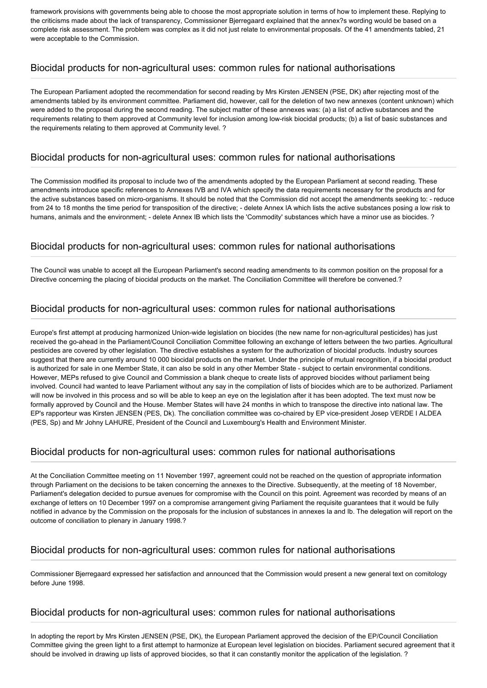framework provisions with governments being able to choose the most appropriate solution in terms of how to implement these. Replying to the criticisms made about the lack of transparency, Commissioner Bjerregaard explained that the annex?s wording would be based on a complete risk assessment. The problem was complex as it did not just relate to environmental proposals. Of the 41 amendments tabled, 21 were acceptable to the Commission.

#### Biocidal products for non-agricultural uses: common rules for national authorisations

The European Parliament adopted the recommendation for second reading by Mrs Kirsten JENSEN (PSE, DK) after rejecting most of the amendments tabled by its environment committee. Parliament did, however, call for the deletion of two new annexes (content unknown) which were added to the proposal during the second reading. The subject matter of these annexes was: (a) a list of active substances and the requirements relating to them approved at Community level for inclusion among low-risk biocidal products; (b) a list of basic substances and the requirements relating to them approved at Community level. ?

## Biocidal products for non-agricultural uses: common rules for national authorisations

The Commission modified its proposal to include two of the amendments adopted by the European Parliament at second reading. These amendments introduce specific references to Annexes IVB and IVA which specify the data requirements necessary for the products and for the active substances based on micro-organisms. It should be noted that the Commission did not accept the amendments seeking to: - reduce from 24 to 18 months the time period for transposition of the directive; - delete Annex IA which lists the active substances posing a low risk to humans, animals and the environment; - delete Annex IB which lists the 'Commodity' substances which have a minor use as biocides. ?

#### Biocidal products for non-agricultural uses: common rules for national authorisations

The Council was unable to accept all the European Parliament's second reading amendments to its common position on the proposal for a Directive concerning the placing of biocidal products on the market. The Conciliation Committee will therefore be convened.?

## Biocidal products for non-agricultural uses: common rules for national authorisations

Europe's first attempt at producing harmonized Union-wide legislation on biocides (the new name for non-agricultural pesticides) has just received the go-ahead in the Parliament/Council Conciliation Committee following an exchange of letters between the two parties. Agricultural pesticides are covered by other legislation. The directive establishes a system for the authorization of biocidal products. Industry sources suggest that there are currently around 10 000 biocidal products on the market. Under the principle of mutual recognition, if a biocidal product is authorized for sale in one Member State, it can also be sold in any other Member State - subject to certain environmental conditions. However, MEPs refused to give Council and Commission a blank cheque to create lists of approved biocides without parliament being involved. Council had wanted to leave Parliament without any say in the compilation of lists of biocides which are to be authorized. Parliament will now be involved in this process and so will be able to keep an eye on the legislation after it has been adopted. The text must now be formally approved by Council and the House. Member States will have 24 months in which to transpose the directive into national law. The EP's rapporteur was Kirsten JENSEN (PES, Dk). The conciliation committee was co-chaired by EP vice-president Josep VERDE I ALDEA (PES, Sp) and Mr Johny LAHURE, President of the Council and Luxembourg's Health and Environment Minister.

## Biocidal products for non-agricultural uses: common rules for national authorisations

At the Conciliation Committee meeting on 11 November 1997, agreement could not be reached on the question of appropriate information through Parliament on the decisions to be taken concerning the annexes to the Directive. Subsequently, at the meeting of 18 November, Parliament's delegation decided to pursue avenues for compromise with the Council on this point. Agreement was recorded by means of an exchange of letters on 10 December 1997 on a compromise arrangement giving Parliament the requisite guarantees that it would be fully notified in advance by the Commission on the proposals for the inclusion of substances in annexes Ia and Ib. The delegation will report on the outcome of conciliation to plenary in January 1998.?

## Biocidal products for non-agricultural uses: common rules for national authorisations

Commissioner Bjerregaard expressed her satisfaction and announced that the Commission would present a new general text on comitology before June 1998.

#### Biocidal products for non-agricultural uses: common rules for national authorisations

In adopting the report by Mrs Kirsten JENSEN (PSE, DK), the European Parliament approved the decision of the EP/Council Conciliation Committee giving the green light to a first attempt to harmonize at European level legislation on biocides. Parliament secured agreement that it should be involved in drawing up lists of approved biocides, so that it can constantly monitor the application of the legislation. ?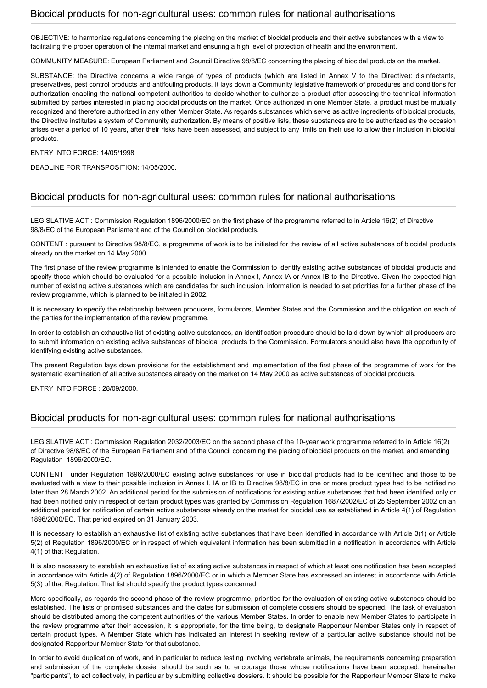#### Biocidal products for non-agricultural uses: common rules for national authorisations

OBJECTIVE: to harmonize regulations concerning the placing on the market of biocidal products and their active substances with a view to facilitating the proper operation of the internal market and ensuring a high level of protection of health and the environment.

COMMUNITY MEASURE: European Parliament and Council Directive 98/8/EC concerning the placing of biocidal products on the market.

SUBSTANCE: the Directive concerns a wide range of types of products (which are listed in Annex V to the Directive): disinfectants, preservatives, pest control products and antifouling products. It lays down a Community legislative framework of procedures and conditions for authorization enabling the national competent authorities to decide whether to authorize a product after assessing the technical information submitted by parties interested in placing biocidal products on the market. Once authorized in one Member State, a product must be mutually recognized and therefore authorized in any other Member State. As regards substances which serve as active ingredients of biocidal products, the Directive institutes a system of Community authorization. By means of positive lists, these substances are to be authorized as the occasion arises over a period of 10 years, after their risks have been assessed, and subject to any limits on their use to allow their inclusion in biocidal products.

#### ENTRY INTO FORCE: 14/05/1998

DEADLINE FOR TRANSPOSITION: 14/05/2000.

#### Biocidal products for non-agricultural uses: common rules for national authorisations

LEGISLATIVE ACT : Commission Regulation 1896/2000/EC on the first phase of the programme referred to in Article 16(2) of Directive 98/8/EC of the European Parliament and of the Council on biocidal products.

CONTENT : pursuant to Directive 98/8/EC, a programme of work is to be initiated for the review of all active substances of biocidal products already on the market on 14 May 2000.

The first phase of the review programme is intended to enable the Commission to identify existing active substances of biocidal products and specify those which should be evaluated for a possible inclusion in Annex I, Annex IA or Annex IB to the Directive. Given the expected high number of existing active substances which are candidates for such inclusion, information is needed to set priorities for a further phase of the review programme, which is planned to be initiated in 2002.

It is necessary to specify the relationship between producers, formulators, Member States and the Commission and the obligation on each of the parties for the implementation of the review programme.

In order to establish an exhaustive list of existing active substances, an identification procedure should be laid down by which all producers are to submit information on existing active substances of biocidal products to the Commission. Formulators should also have the opportunity of identifying existing active substances.

The present Regulation lays down provisions for the establishment and implementation of the first phase of the programme of work for the systematic examination of all active substances already on the market on 14 May 2000 as active substances of biocidal products.

ENTRY INTO FORCE : 28/09/2000.

#### Biocidal products for non-agricultural uses: common rules for national authorisations

LEGISLATIVE ACT : Commission Regulation 2032/2003/EC on the second phase of the 10-year work programme referred to in Article 16(2) of Directive 98/8/EC of the European Parliament and of the Council concerning the placing of biocidal products on the market, and amending Regulation 1896/2000/EC.

CONTENT : under Regulation 1896/2000/EC existing active substances for use in biocidal products had to be identified and those to be evaluated with a view to their possible inclusion in Annex I, IA or IB to Directive 98/8/EC in one or more product types had to be notified no later than 28 March 2002. An additional period for the submission of notifications for existing active substances that had been identified only or had been notified only in respect of certain product types was granted by Commission Regulation 1687/2002/EC of 25 September 2002 on an additional period for notification of certain active substances already on the market for biocidal use as established in Article 4(1) of Regulation 1896/2000/EC. That period expired on 31 January 2003.

It is necessary to establish an exhaustive list of existing active substances that have been identified in accordance with Article 3(1) or Article 5(2) of Regulation 1896/2000/EC or in respect of which equivalent information has been submitted in a notification in accordance with Article 4(1) of that Regulation.

It is also necessary to establish an exhaustive list of existing active substances in respect of which at least one notification has been accepted in accordance with Article 4(2) of Regulation 1896/2000/EC or in which a Member State has expressed an interest in accordance with Article 5(3) of that Regulation. That list should specify the product types concerned.

More specifically, as regards the second phase of the review programme, priorities for the evaluation of existing active substances should be established. The lists of prioritised substances and the dates for submission of complete dossiers should be specified. The task of evaluation should be distributed among the competent authorities of the various Member States. In order to enable new Member States to participate in the review programme after their accession, it is appropriate, for the time being, to designate Rapporteur Member States only in respect of certain product types. A Member State which has indicated an interest in seeking review of a particular active substance should not be designated Rapporteur Member State for that substance.

In order to avoid duplication of work, and in particular to reduce testing involving vertebrate animals, the requirements concerning preparation and submission of the complete dossier should be such as to encourage those whose notifications have been accepted, hereinafter "participants", to act collectively, in particular by submitting collective dossiers. It should be possible for the Rapporteur Member State to make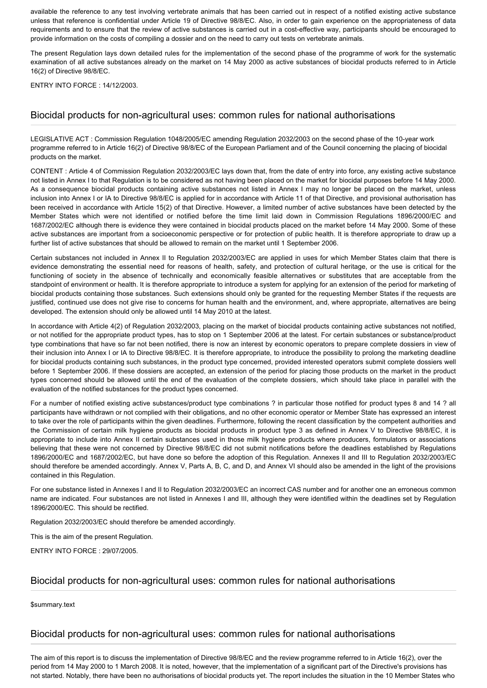available the reference to any test involving vertebrate animals that has been carried out in respect of a notified existing active substance unless that reference is confidential under Article 19 of Directive 98/8/EC. Also, in order to gain experience on the appropriateness of data requirements and to ensure that the review of active substances is carried out in a cost-effective way, participants should be encouraged to provide information on the costs of compiling a dossier and on the need to carry out tests on vertebrate animals.

The present Regulation lays down detailed rules for the implementation of the second phase of the programme of work for the systematic examination of all active substances already on the market on 14 May 2000 as active substances of biocidal products referred to in Article 16(2) of Directive 98/8/EC.

ENTRY INTO FORCE : 14/12/2003.

#### Biocidal products for non-agricultural uses: common rules for national authorisations

LEGISLATIVE ACT : Commission Regulation 1048/2005/EC amending Regulation 2032/2003 on the second phase of the 10-year work programme referred to in Article 16(2) of Directive 98/8/EC of the European Parliament and of the Council concerning the placing of biocidal products on the market.

CONTENT : Article 4 of Commission Regulation 2032/2003/EC lays down that, from the date of entry into force, any existing active substance not listed in Annex I to that Regulation is to be considered as not having been placed on the market for biocidal purposes before 14 May 2000. As a consequence biocidal products containing active substances not listed in Annex I may no longer be placed on the market, unless inclusion into Annex I or IA to Directive 98/8/EC is applied for in accordance with Article 11 of that Directive, and provisional authorisation has been received in accordance with Article 15(2) of that Directive. However, a limited number of active substances have been detected by the Member States which were not identified or notified before the time limit laid down in Commission Regulations 1896/2000/EC and 1687/2002/EC although there is evidence they were contained in biocidal products placed on the market before 14 May 2000. Some of these active substances are important from a socioeconomic perspective or for protection of public health. It is therefore appropriate to draw up a further list of active substances that should be allowed to remain on the market until 1 September 2006.

Certain substances not included in Annex II to Regulation 2032/2003/EC are applied in uses for which Member States claim that there is evidence demonstrating the essential need for reasons of health, safety, and protection of cultural heritage, or the use is critical for the functioning of society in the absence of technically and economically feasible alternatives or substitutes that are acceptable from the standpoint of environment or health. It is therefore appropriate to introduce a system for applying for an extension of the period for marketing of biocidal products containing those substances. Such extensions should only be granted for the requesting Member States if the requests are justified, continued use does not give rise to concerns for human health and the environment, and, where appropriate, alternatives are being developed. The extension should only be allowed until 14 May 2010 at the latest.

In accordance with Article 4(2) of Regulation 2032/2003, placing on the market of biocidal products containing active substances not notified, or not notified for the appropriate product types, has to stop on 1 September 2006 at the latest. For certain substances or substance/product type combinations that have so far not been notified, there is now an interest by economic operators to prepare complete dossiers in view of their inclusion into Annex I or IA to Directive 98/8/EC. It is therefore appropriate, to introduce the possibility to prolong the marketing deadline for biocidal products containing such substances, in the product type concerned, provided interested operators submit complete dossiers well before 1 September 2006. If these dossiers are accepted, an extension of the period for placing those products on the market in the product types concerned should be allowed until the end of the evaluation of the complete dossiers, which should take place in parallel with the evaluation of the notified substances for the product types concerned.

For a number of notified existing active substances/product type combinations ? in particular those notified for product types 8 and 14 ? all participants have withdrawn or not complied with their obligations, and no other economic operator or Member State has expressed an interest to take over the role of participants within the given deadlines. Furthermore, following the recent classification by the competent authorities and the Commission of certain milk hygiene products as biocidal products in product type 3 as defined in Annex V to Directive 98/8/EC, it is appropriate to include into Annex II certain substances used in those milk hygiene products where producers, formulators or associations believing that these were not concerned by Directive 98/8/EC did not submit notifications before the deadlines established by Regulations 1896/2000/EC and 1687/2002/EC, but have done so before the adoption of this Regulation. Annexes II and III to Regulation 2032/2003/EC should therefore be amended accordingly. Annex V, Parts A, B, C, and D, and Annex VI should also be amended in the light of the provisions contained in this Regulation.

For one substance listed in Annexes I and II to Regulation 2032/2003/EC an incorrect CAS number and for another one an erroneous common name are indicated. Four substances are not listed in Annexes I and III, although they were identified within the deadlines set by Regulation 1896/2000/EC. This should be rectified.

Regulation 2032/2003/EC should therefore be amended accordingly.

This is the aim of the present Regulation.

ENTRY INTO FORCE : 29/07/2005.

## Biocidal products for non-agricultural uses: common rules for national authorisations

\$summary.text

#### Biocidal products for non-agricultural uses: common rules for national authorisations

The aim of this report is to discuss the implementation of Directive 98/8/EC and the review programme referred to in Article 16(2), over the period from 14 May 2000 to 1 March 2008. It is noted, however, that the implementation of a significant part of the Directive's provisions has not started. Notably, there have been no authorisations of biocidal products yet. The report includes the situation in the 10 Member States who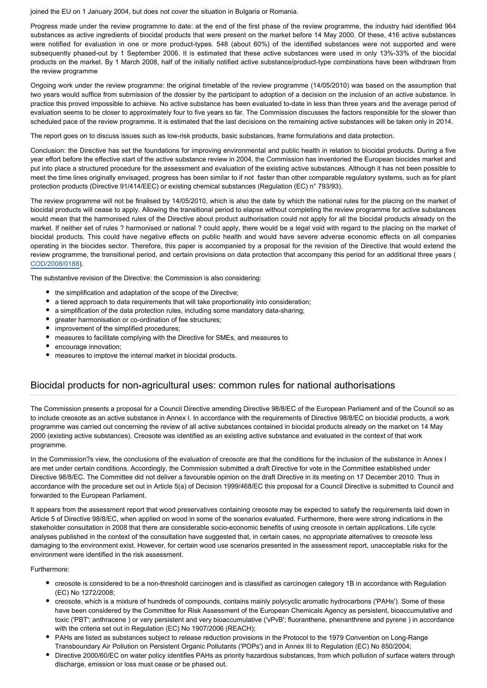joined the EU on 1 January 2004, but does not cover the situation in Bulgaria or Romania.

Progress made under the review programme to date: at the end of the first phase of the review programme, the industry had identified 964 substances as active ingredients of biocidal products that were present on the market before 14 May 2000. Of these, 416 active substances were notified for evaluation in one or more product-types. 548 (about 60%) of the identified substances were not supported and were subsequently phased-out by 1 September 2006. It is estimated that these active substances were used in only 13%-33% of the biocidal products on the market. By 1 March 2008, half of the initially notified active substance/product-type combinations have been withdrawn from the review programme

Ongoing work under the review programme: the original timetable of the review programme (14/05/2010) was based on the assumption that two years would suffice from submission of the dossier by the participant to adoption of a decision on the inclusion of an active substance. In practice this proved impossible to achieve. No active substance has been evaluated to-date in less than three years and the average period of evaluation seems to be closer to approximately four to five years so far. The Commission discusses the factors responsible for the slower than scheduled pace of the review programme. It is estimated that the last decisions on the remaining active substances will be taken only in 2014.

The report goes on to discuss issues such as low-risk products, basic substances, frame formulations and data protection.

Conclusion: the Directive has set the foundations for improving environmental and public health in relation to biocidal products. During a five year effort before the effective start of the active substance review in 2004, the Commission has inventoried the European biocides market and put into place a structured procedure for the assessment and evaluation of the existing active substances. Although it has not been possible to meet the time lines originally envisaged, progress has been similar to if not faster than other comparable regulatory systems, such as for plant protection products (Directive 91/414/EEC) or existing chemical substances (Regulation (EC) n° 793/93).

The review programme will not be finalised by 14/05/2010, which is also the date by which the national rules for the placing on the market of biocidal products will cease to apply. Allowing the transitional period to elapse without completing the review programme for active substances would mean that the harmonised rules of the Directive about product authorisation could not apply for all the biocidal products already on the market. If neither set of rules ? harmonised or national ? could apply, there would be a legal void with regard to the placing on the market of biocidal products. This could have negative effects on public health and would have severe adverse economic effects on all companies operating in the biocides sector. Therefore, this paper is accompanied by a proposal for the revision of the Directive that would extend the review programme, the transitional period, and certain provisions on data protection that accompany this period for an additional three years ( [COD/2008/0188\)](http://www.europarl.europa.eu/oeil/FindByProcnum.do?lang=en&procnum=COD/2008/0188).

The substantive revision of the Directive: the Commission is also considering:

- the simplification and adaptation of the scope of the Directive;
- a tiered approach to data requirements that will take proportionality into consideration;
- a simplification of the data protection rules, including some mandatory data-sharing;
- greater harmonisation or co-ordination of fee structures;
- improvement of the simplified procedures;
- $\bullet$ measures to facilitate complying with the Directive for SMEs, and measures to
- encourage innovation;
- measures to imptove the internal market in biocidal products.

#### Biocidal products for non-agricultural uses: common rules for national authorisations

The Commission presents a proposal for a Council Directive amending Directive 98/8/EC of the European Parliament and of the Council so as to include creosote as an active substance in Annex I. In accordance with the requirements of Directive 98/8/EC on biocidal products, a work programme was carried out concerning the review of all active substances contained in biocidal products already on the market on 14 May 2000 (existing active substances). Creosote was identified as an existing active substance and evaluated in the context of that work programme.

In the Commission?s view, the conclusions of the evaluation of creosote are that the conditions for the inclusion of the substance in Annex I are met under certain conditions. Accordingly, the Commission submitted a draft Directive for vote in the Committee established under Directive 98/8/EC. The Committee did not deliver a favourable opinion on the draft Directive in its meeting on 17 December 2010. Thus in accordance with the procedure set out in Article 5(a) of Decision 1999/468/EC this proposal for a Council Directive is submitted to Council and forwarded to the European Parliament.

It appears from the assessment report that wood preservatives containing creosote may be expected to satisfy the requirements laid down in Article 5 of Directive 98/8/EC, when applied on wood in some of the scenarios evaluated. Furthermore, there were strong indications in the stakeholder consultation in 2008 that there are considerable socio-economic benefits of using creosote in certain applications. Life cycle analyses published in the context of the consultation have suggested that, in certain cases, no appropriate alternatives to creosote less damaging to the environment exist. However, for certain wood use scenarios presented in the assessment report, unacceptable risks for the environment were identified in the risk assessment.

Furthermore:

- creosote is considered to be a non-threshold carcinogen and is classified as carcinogen category 1B in accordance with Regulation (EC) No 1272/2008;
- creosote, which is a mixture of hundreds of compounds, contains mainly polycyclic aromatic hydrocarbons ('PAHs'). Some of these have been considered by the Committee for Risk Assessment of the European Chemicals Agency as persistent, bioaccumulative and toxic ('PBT'; anthracene ) or very persistent and very bioaccumulative ('vPvB'; fluoranthene, phenanthrene and pyrene ) in accordance with the criteria set out in Regulation (EC) No 1907/2006 (REACH);
- PAHs are listed as substances subject to release reduction provisions in the Protocol to the 1979 Convention on Long-Range Transboundary Air Pollution on Persistent Organic Pollutants ('POPs') and in Annex III to Regulation (EC) No 850/2004;
- Directive 2000/60/EC on water policy identifies PAHs as priority hazardous substances, from which pollution of surface waters through discharge, emission or loss must cease or be phased out.